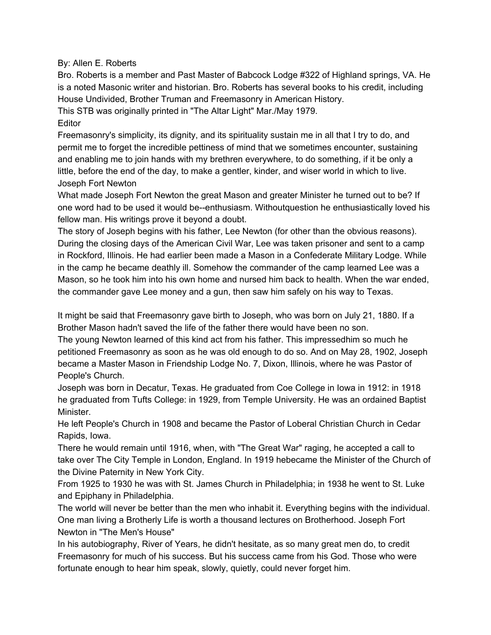By: Allen E. Roberts

Bro. Roberts is a member and Past Master of Babcock Lodge #322 of Highland springs, VA. He is a noted Masonic writer and historian. Bro. Roberts has several books to his credit, including House Undivided, Brother Truman and Freemasonry in American History.

This STB was originally printed in "The Altar Light" Mar./May 1979.

**Editor** 

Freemasonry's simplicity, its dignity, and its spirituality sustain me in all that I try to do, and permit me to forget the incredible pettiness of mind that we sometimes encounter, sustaining and enabling me to join hands with my brethren everywhere, to do something, if it be only a little, before the end of the day, to make a gentler, kinder, and wiser world in which to live. Joseph Fort Newton

What made Joseph Fort Newton the great Mason and greater Minister he turned out to be? If one word had to be used it would be--enthusiasm. Withoutquestion he enthusiastically loved his fellow man. His writings prove it beyond a doubt.

The story of Joseph begins with his father, Lee Newton (for other than the obvious reasons). During the closing days of the American Civil War, Lee was taken prisoner and sent to a camp in Rockford, Illinois. He had earlier been made a Mason in a Confederate Military Lodge. While in the camp he became deathly ill. Somehow the commander of the camp learned Lee was a Mason, so he took him into his own home and nursed him back to health. When the war ended, the commander gave Lee money and a gun, then saw him safely on his way to Texas.

It might be said that Freemasonry gave birth to Joseph, who was born on July 21, 1880. If a Brother Mason hadn't saved the life of the father there would have been no son.

The young Newton learned of this kind act from his father. This impressedhim so much he petitioned Freemasonry as soon as he was old enough to do so. And on May 28, 1902, Joseph became a Master Mason in Friendship Lodge No. 7, Dixon, Illinois, where he was Pastor of People's Church.

Joseph was born in Decatur, Texas. He graduated from Coe College in Iowa in 1912: in 1918 he graduated from Tufts College: in 1929, from Temple University. He was an ordained Baptist Minister.

He left People's Church in 1908 and became the Pastor of Loberal Christian Church in Cedar Rapids, Iowa.

There he would remain until 1916, when, with "The Great War" raging, he accepted a call to take over The City Temple in London, England. In 1919 hebecame the Minister of the Church of the Divine Paternity in New York City.

From 1925 to 1930 he was with St. James Church in Philadelphia; in 1938 he went to St. Luke and Epiphany in Philadelphia.

The world will never be better than the men who inhabit it. Everything begins with the individual. One man living a Brotherly Life is worth a thousand lectures on Brotherhood. Joseph Fort Newton in "The Men's House"

In his autobiography, River of Years, he didn't hesitate, as so many great men do, to credit Freemasonry for much of his success. But his success came from his God. Those who were fortunate enough to hear him speak, slowly, quietly, could never forget him.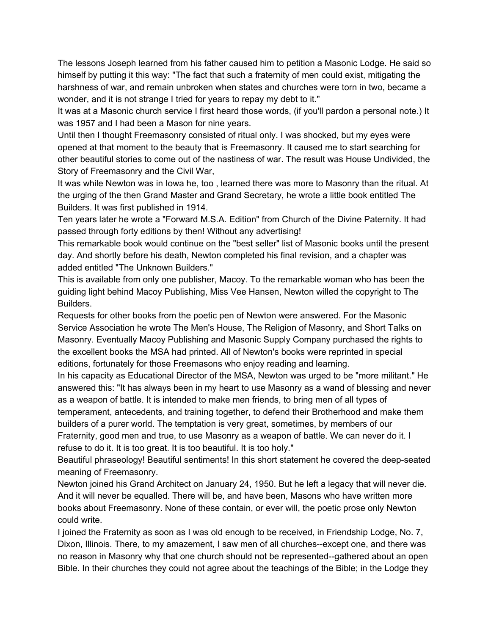The lessons Joseph learned from his father caused him to petition a Masonic Lodge. He said so himself by putting it this way: "The fact that such a fraternity of men could exist, mitigating the harshness of war, and remain unbroken when states and churches were torn in two, became a wonder, and it is not strange I tried for years to repay my debt to it."

It was at a Masonic church service I first heard those words, (if you'll pardon a personal note.) It was 1957 and I had been a Mason for nine years.

Until then I thought Freemasonry consisted of ritual only. I was shocked, but my eyes were opened at that moment to the beauty that is Freemasonry. It caused me to start searching for other beautiful stories to come out of the nastiness of war. The result was House Undivided, the Story of Freemasonry and the Civil War,

It was while Newton was in Iowa he, too , learned there was more to Masonry than the ritual. At the urging of the then Grand Master and Grand Secretary, he wrote a little book entitled The Builders. It was first published in 1914.

Ten years later he wrote a "Forward M.S.A. Edition" from Church of the Divine Paternity. It had passed through forty editions by then! Without any advertising!

This remarkable book would continue on the "best seller" list of Masonic books until the present day. And shortly before his death, Newton completed his final revision, and a chapter was added entitled "The Unknown Builders."

This is available from only one publisher, Macoy. To the remarkable woman who has been the guiding light behind Macoy Publishing, Miss Vee Hansen, Newton willed the copyright to The Builders.

Requests for other books from the poetic pen of Newton were answered. For the Masonic Service Association he wrote The Men's House, The Religion of Masonry, and Short Talks on Masonry. Eventually Macoy Publishing and Masonic Supply Company purchased the rights to the excellent books the MSA had printed. All of Newton's books were reprinted in special editions, fortunately for those Freemasons who enjoy reading and learning.

In his capacity as Educational Director of the MSA, Newton was urged to be "more militant." He answered this: "It has always been in my heart to use Masonry as a wand of blessing and never as a weapon of battle. It is intended to make men friends, to bring men of all types of temperament, antecedents, and training together, to defend their Brotherhood and make them builders of a purer world. The temptation is very great, sometimes, by members of our Fraternity, good men and true, to use Masonry as a weapon of battle. We can never do it. I refuse to do it. It is too great. It is too beautiful. It is too holy."

Beautiful phraseology! Beautiful sentiments! In this short statement he covered the deep-seated meaning of Freemasonry.

Newton joined his Grand Architect on January 24, 1950. But he left a legacy that will never die. And it will never be equalled. There will be, and have been, Masons who have written more books about Freemasonry. None of these contain, or ever will, the poetic prose only Newton could write.

I joined the Fraternity as soon as I was old enough to be received, in Friendship Lodge, No. 7, Dixon, Illinois. There, to my amazement, I saw men of all churches--except one, and there was no reason in Masonry why that one church should not be represented--gathered about an open Bible. In their churches they could not agree about the teachings of the Bible; in the Lodge they